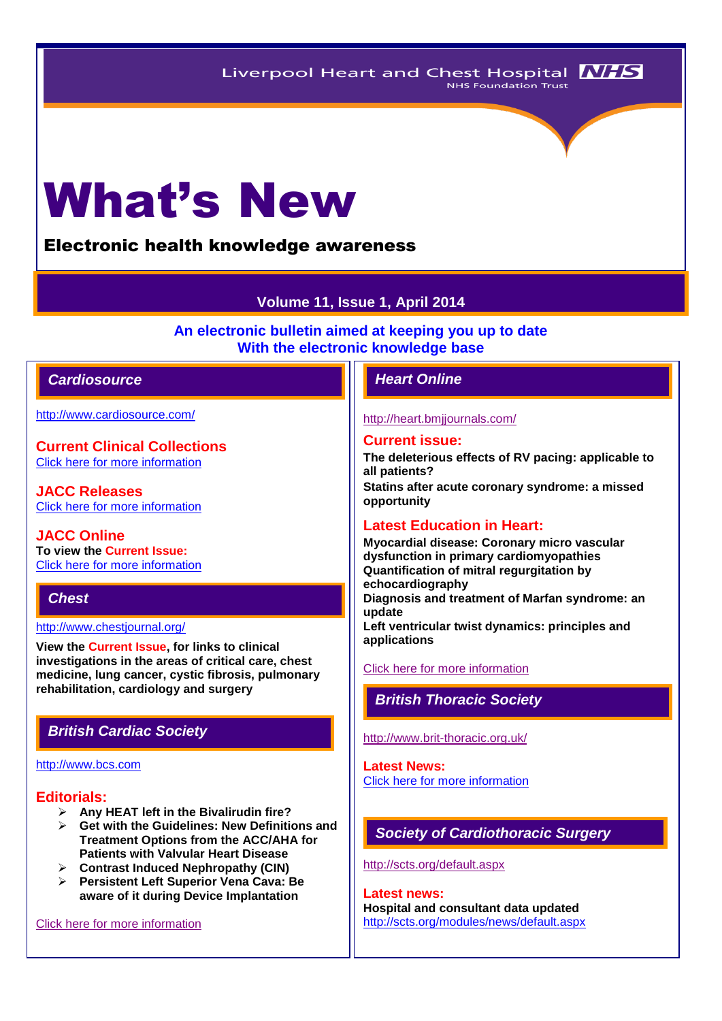# What's New

# Electronic health knowledge awareness

# **Volume 11, Issue 1, April 2014**

**An electronic bulletin aimed at keeping you up to date With the electronic knowledge base**

# *Cardiosource Heart Online*

<http://www.cardiosource.com/>

**Current Clinical Collections** [Click here for more information](http://www.cardiosource.org/science-and-quality/clinical-collections.aspx)

**JACC Releases** [Click here for more information](http://www.cardiosource.org/news-media/media-center/jacc-releases.aspx)

**JACC Online To view the Current Issue:** [Click here for more information](http://content.onlinejacc.org/current.dtl)

# *Chest*

<http://www.chestjournal.org/>

**View the Current Issue, for links to clinical investigations in the areas of critical care, chest medicine, lung cancer, cystic fibrosis, pulmonary rehabilitation, cardiology and surgery**

# *British Cardiac Society*

#### [http://www.bcs.com](http://www.bcs.com/)

#### **Editorials:**

- **Any HEAT left in the Bivalirudin fire?**
- **Get with the Guidelines: New Definitions and Treatment Options from the ACC/AHA for Patients with Valvular Heart Disease**
- **Contrast Induced Nephropathy (CIN)**
- **Persistent Left Superior Vena Cava: Be aware of it during Device Implantation**

[Click here for more information](http://www.bcs.com/editorial/editorial.asp)

#### <http://heart.bmjjournals.com/>

#### **Current issue:**

**The deleterious effects of RV pacing: applicable to all patients? Statins after acute coronary syndrome: a missed opportunity**

# **Latest Education in Heart:**

**Myocardial disease: Coronary micro vascular dysfunction in primary cardiomyopathies Quantification of mitral regurgitation by echocardiography Diagnosis and treatment of Marfan syndrome: an update Left ventricular twist dynamics: principles and applications**

#### [Click here for more information](http://heart.bmj.com/site/about/education.xhtml)

# *British Thoracic Society*

<http://www.brit-thoracic.org.uk/>

#### **Latest News:** [Click here for more information](https://www.brit-thoracic.org.uk/bts-news/)

# *Society of Cardiothoracic Surgery*

<http://scts.org/default.aspx>

**Latest news: Hospital and consultant data updated** <http://scts.org/modules/news/default.aspx>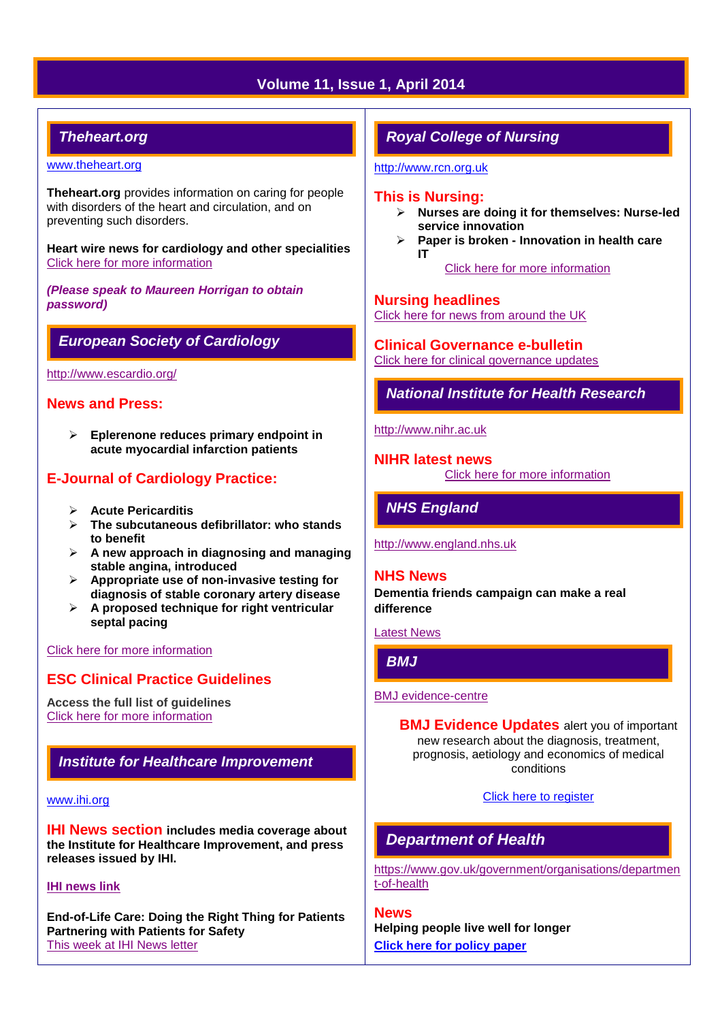# **Volume 11, Issue 1, April 2014**

# *Theheart.org*

#### [www.theheart.org](http://www.theheart.org/)

**Theheart.org** provides information on caring for people with disorders of the heart and circulation, and on preventing such disorders.

**Heart wire news for cardiology and other specialities** [Click here for more information](http://www.medscape.com/cardiology)

*(Please speak to Maureen Horrigan to obtain password)*

# *European Society of Cardiology*

<http://www.escardio.org/>

## **News and Press:**

 **Eplerenone reduces primary endpoint in acute myocardial infarction patients** 

# **E-Journal of Cardiology Practice:**

- **Acute Pericarditis**
- **The subcutaneous defibrillator: who stands to benefit**
- **A new approach in diagnosing and managing stable angina, introduced**
- **Appropriate use of non-invasive testing for diagnosis of stable coronary artery disease**
- **A proposed technique for right ventricular septal pacing**

#### [Click here for more information](http://www.escardio.org/communities/councils/ccp/e-journal/volume12/Pages/welcome.aspx)

# **ESC Clinical Practice Guidelines**

**Access the full list of guidelines**  [Click here for more information](http://www.escardio.org/guidelines-surveys/esc-guidelines/Pages/GuidelinesList.aspx)

# *Institute for Healthcare Improvement*

#### [www.ihi.org](http://www.ihi.org/)

**IHI News section includes media coverage about the Institute for Healthcare Improvement, and press releases issued by IHI.**

#### **[IHI news link](http://www.ihi.org/about/news/Pages/default.aspx)**

**End-of-Life Care: Doing the Right Thing for Patients Partnering with Patients for Safety** This [week at IHI News letter](http://www.ihi.org/Documents/ThisWeekatIHI.htm) 

# *Royal College of Nursing*

[http://www.rcn.org.uk](http://www.rcn.org.uk/)

### **This is Nursing:**

- **Nurses are doing it for themselves: Nurse-led service innovation**
- **Paper is broken - Innovation in health care IT**IT
	- [Click here for more information](http://thisisnursing.rcn.org.uk/members/)

## **Nursing headlines**

[Click here for news from around the UK](http://www.rcn.org.uk/newsevents/news)

**Clinical Governance e-bulletin** [Click here for clinical governance updates](http://www.rcn.org.uk/development/practice/clinical_governance/quality_and_safety_e-bulletin/e-bulletin_archive)

*National Institute for Health Research* 

[http://www.nihr.ac.uk](http://www.nihr.ac.uk/)

**NIHR latest news** [Click here for more information](http://www.nihr.ac.uk/news/Pages/default.aspx)

*NHS England*

[http://www.england.nhs.uk](http://www.england.nhs.uk/)

#### **NHS News**

**Dementia friends campaign can make a real difference**

[Latest News](http://www.england.nhs.uk/2014/02/)

# *BMJ*

#### [BMJ evidence-centre](http://group.bmj.com/products/evidence-centre/evidence-updates)

**BMJ Evidence Updates** alert you of important new research about the diagnosis, treatment, prognosis, aetiology and economics of medical conditions

[Click here to register](http://plus.mcmaster.ca/EvidenceUpdates/Registration.aspx)

# *Department of Health*

[https://www.gov.uk/government/organisations/departmen](https://www.gov.uk/government/organisations/department-of-health) [t-of-health](https://www.gov.uk/government/organisations/department-of-health)

**News Helping people live well for longer [Click here for policy paper](https://www.gov.uk/government/publications/helping-people-live-well-for-longer)**